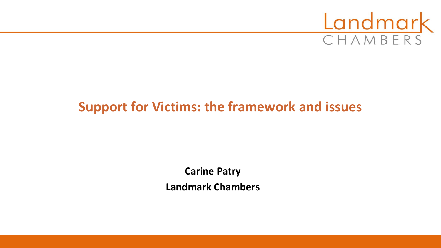

# **Support for Victims: the framework and issues**

**Carine Patry Landmark Chambers**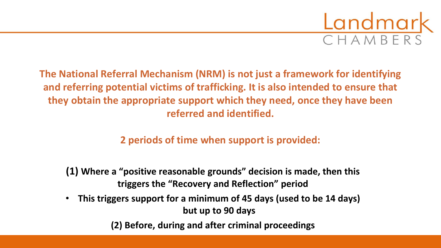

**The National Referral Mechanism (NRM) is not just a framework for identifying and referring potential victims of trafficking. It is also intended to ensure that they obtain the appropriate support which they need, once they have been referred and identified.**

**2 periods of time when support is provided:**

**(1) Where a "positive reasonable grounds" decision is made, then this triggers the "Recovery and Reflection" period**

• **This triggers support for a minimum of 45 days (used to be 14 days) but up to 90 days**

**(2) Before, during and after criminal proceedings**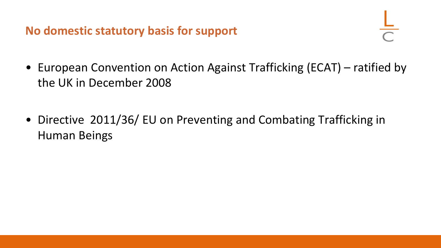**No domestic statutory basis for support**

- European Convention on Action Against Trafficking (ECAT) ratified by the UK in December 2008
- Directive 2011/36/ EU on Preventing and Combating Trafficking in Human Beings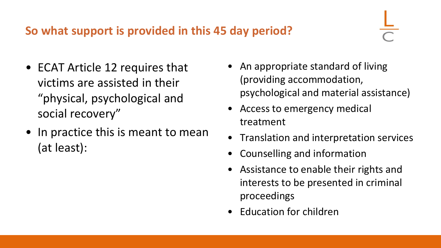#### **So what support is provided in this 45 day period?**

- ECAT Article 12 requires that victims are assisted in their "physical, psychological and social recovery"
- In practice this is meant to mean (at least):
- An appropriate standard of living (providing accommodation, psychological and material assistance)
- Access to emergency medical treatment
- Translation and interpretation services
- Counselling and information
- Assistance to enable their rights and interests to be presented in criminal proceedings
- Education for children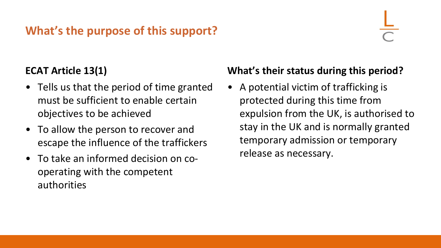# **What's the purpose of this support?**

#### **ECAT Article 13(1)**

- Tells us that the period of time granted must be sufficient to enable certain objectives to be achieved
- To allow the person to recover and escape the influence of the traffickers
- To take an informed decision on cooperating with the competent authorities

#### **What's their status during this period?**

• A potential victim of trafficking is protected during this time from expulsion from the UK, is authorised to stay in the UK and is normally granted temporary admission or temporary release as necessary.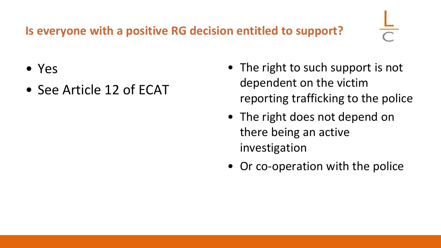# **Is everyone with a positive RG decision entitled to support?**

- Yes
- See Article 12 of ECAT
- The right to such support is not dependent on the victim reporting trafficking to the police
- The right does not depend on there being an active investigation
- Or co-operation with the police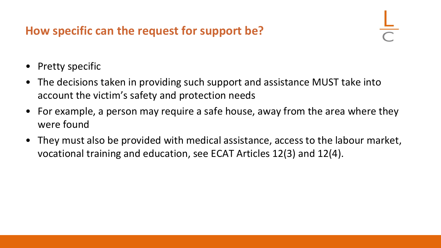### **How specific can the request for support be?**

- **Pretty specific**
- The decisions taken in providing such support and assistance MUST take into account the victim's safety and protection needs
- For example, a person may require a safe house, away from the area where they were found
- They must also be provided with medical assistance, access to the labour market, vocational training and education, see ECAT Articles 12(3) and 12(4).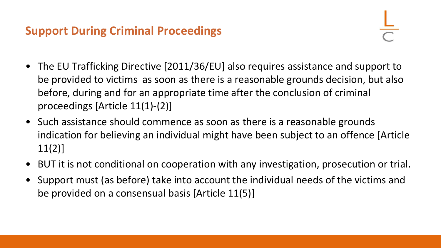#### **Support During Criminal Proceedings**

- The EU Trafficking Directive [2011/36/EU] also requires assistance and support to be provided to victims as soon as there is a reasonable grounds decision, but also before, during and for an appropriate time after the conclusion of criminal proceedings [Article 11(1)-(2)]
- Such assistance should commence as soon as there is a reasonable grounds indication for believing an individual might have been subject to an offence [Article 11(2)]
- BUT it is not conditional on cooperation with any investigation, prosecution or trial.
- Support must (as before) take into account the individual needs of the victims and be provided on a consensual basis [Article 11(5)]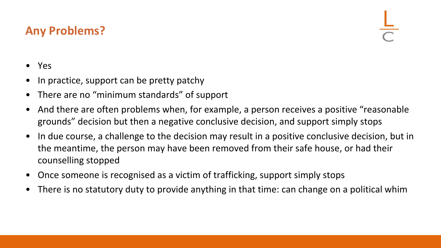#### **Any Problems?**

- Yes
- In practice, support can be pretty patchy
- There are no "minimum standards" of support
- And there are often problems when, for example, a person receives a positive "reasonable grounds" decision but then a negative conclusive decision, and support simply stops
- In due course, a challenge to the decision may result in a positive conclusive decision, but in the meantime, the person may have been removed from their safe house, or had their counselling stopped
- Once someone is recognised as a victim of trafficking, support simply stops
- There is no statutory duty to provide anything in that time: can change on a political whim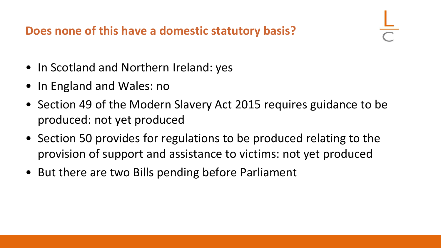**Does none of this have a domestic statutory basis?**

- In Scotland and Northern Ireland: yes
- In England and Wales: no
- Section 49 of the Modern Slavery Act 2015 requires guidance to be produced: not yet produced
- Section 50 provides for regulations to be produced relating to the provision of support and assistance to victims: not yet produced
- But there are two Bills pending before Parliament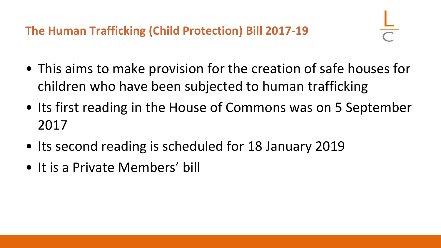**The Human Trafficking (Child Protection) Bill 2017-19**

- This aims to make provision for the creation of safe houses for children who have been subjected to human trafficking
- Its first reading in the House of Commons was on 5 September 2017
- Its second reading is scheduled for 18 January 2019
- It is a Private Members' bill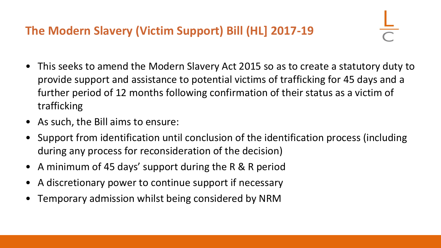## **The Modern Slavery (Victim Support) Bill (HL] 2017-19**

- This seeks to amend the Modern Slavery Act 2015 so as to create a statutory duty to provide support and assistance to potential victims of trafficking for 45 days and a further period of 12 months following confirmation of their status as a victim of trafficking
- As such, the Bill aims to ensure:
- Support from identification until conclusion of the identification process (including during any process for reconsideration of the decision)
- A minimum of 45 days' support during the R & R period
- A discretionary power to continue support if necessary
- Temporary admission whilst being considered by NRM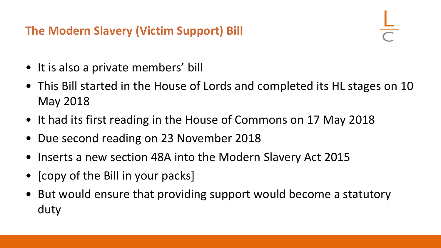## **The Modern Slavery (Victim Support) Bill**

- It is also a private members' bill
- This Bill started in the House of Lords and completed its HL stages on 10 May 2018
- It had its first reading in the House of Commons on 17 May 2018
- Due second reading on 23 November 2018
- Inserts a new section 48A into the Modern Slavery Act 2015
- **[copy of the Bill in your packs]**
- But would ensure that providing support would become a statutory duty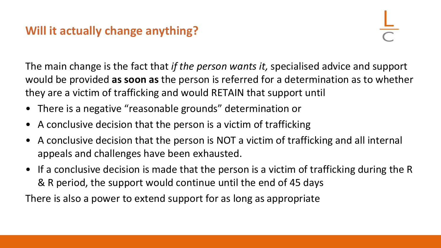#### **Will it actually change anything?**

The main change is the fact that *if the person wants it,* specialised advice and support would be provided **as soon as** the person is referred for a determination as to whether they are a victim of trafficking and would RETAIN that support until

- There is a negative "reasonable grounds" determination or
- A conclusive decision that the person is a victim of trafficking
- A conclusive decision that the person is NOT a victim of trafficking and all internal appeals and challenges have been exhausted.
- If a conclusive decision is made that the person is a victim of trafficking during the R & R period, the support would continue until the end of 45 days

There is also a power to extend support for as long as appropriate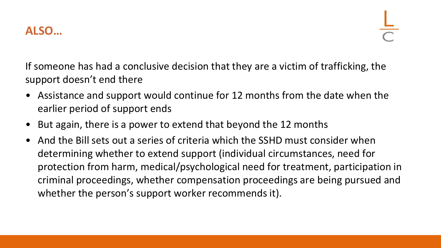

If someone has had a conclusive decision that they are a victim of trafficking, the support doesn't end there

- Assistance and support would continue for 12 months from the date when the earlier period of support ends
- But again, there is a power to extend that beyond the 12 months
- And the Bill sets out a series of criteria which the SSHD must consider when determining whether to extend support (individual circumstances, need for protection from harm, medical/psychological need for treatment, participation in criminal proceedings, whether compensation proceedings are being pursued and whether the person's support worker recommends it).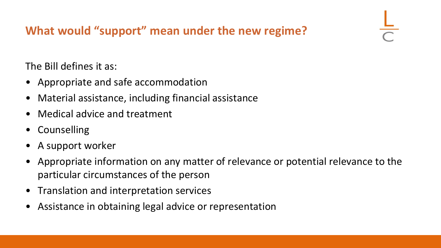# **What would "support" mean under the new regime?**

The Bill defines it as:

- Appropriate and safe accommodation
- Material assistance, including financial assistance
- Medical advice and treatment
- **Counselling**
- A support worker
- Appropriate information on any matter of relevance or potential relevance to the particular circumstances of the person
- Translation and interpretation services
- Assistance in obtaining legal advice or representation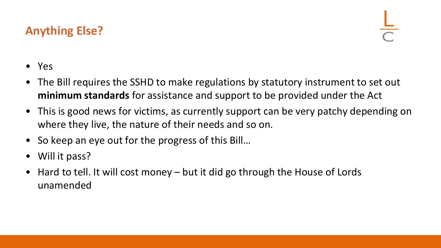## **Anything Else?**

- Yes
- The Bill requires the SSHD to make regulations by statutory instrument to set out **minimum standards** for assistance and support to be provided under the Act
- This is good news for victims, as currently support can be very patchy depending on where they live, the nature of their needs and so on.
- So keep an eye out for the progress of this Bill...
- Will it pass?
- Hard to tell. It will cost money but it did go through the House of Lords unamended